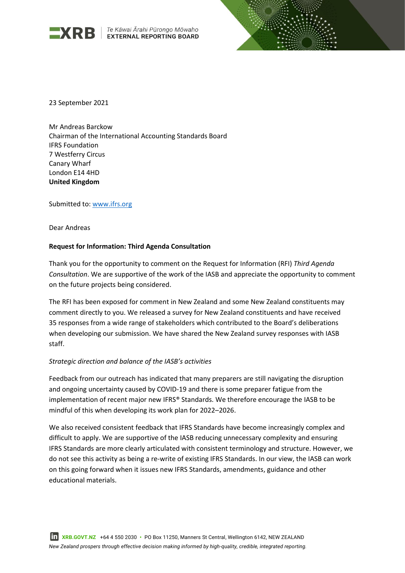

**EXRB** *Te Kāwai Ārahi Pūrongo Mōwaho*<br>EXTERNAL REPORTING BOARD



23 September 2021

Mr Andreas Barckow Chairman of the International Accounting Standards Board IFRS Foundation 7 Westferry Circus Canary Wharf London E14 4HD **United Kingdom**

Submitted to: [www.ifrs.org](http://www.ifrs.org/)

Dear Andreas

# **Request for Information: Third Agenda Consultation**

Thank you for the opportunity to comment on the Request for Information (RFI) *Third Agenda Consultation*. We are supportive of the work of the IASB and appreciate the opportunity to comment on the future projects being considered.

The RFI has been exposed for comment in New Zealand and some New Zealand constituents may comment directly to you. We released a survey for New Zealand constituents and have received 35 responses from a wide range of stakeholders which contributed to the Board's deliberations when developing our submission. We have shared the New Zealand survey responses with IASB staff.

#### *Strategic direction and balance of the IASB's activities*

Feedback from our outreach has indicated that many preparers are still navigating the disruption and ongoing uncertainty caused by COVID-19 and there is some preparer fatigue from the implementation of recent major new IFRS® Standards. We therefore encourage the IASB to be mindful of this when developing its work plan for 2022–2026.

We also received consistent feedback that IFRS Standards have become increasingly complex and difficult to apply. We are supportive of the IASB reducing unnecessary complexity and ensuring IFRS Standards are more clearly articulated with consistent terminology and structure. However, we do not see this activity as being a re-write of existing IFRS Standards. In our view, the IASB can work on this going forward when it issues new IFRS Standards, amendments, guidance and other educational materials.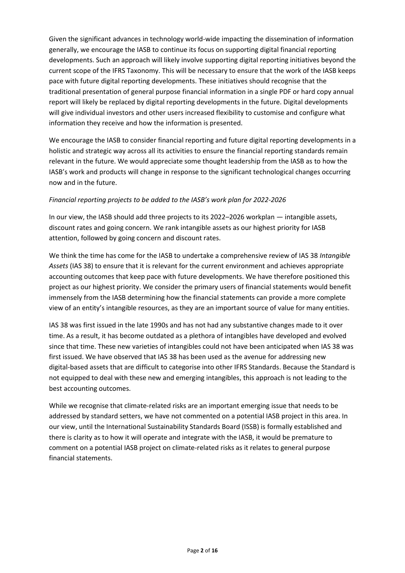Given the significant advances in technology world-wide impacting the dissemination of information generally, we encourage the IASB to continue its focus on supporting digital financial reporting developments. Such an approach will likely involve supporting digital reporting initiatives beyond the current scope of the IFRS Taxonomy. This will be necessary to ensure that the work of the IASB keeps pace with future digital reporting developments. These initiatives should recognise that the traditional presentation of general purpose financial information in a single PDF or hard copy annual report will likely be replaced by digital reporting developments in the future. Digital developments will give individual investors and other users increased flexibility to customise and configure what information they receive and how the information is presented.

We encourage the IASB to consider financial reporting and future digital reporting developments in a holistic and strategic way across all its activities to ensure the financial reporting standards remain relevant in the future. We would appreciate some thought leadership from the IASB as to how the IASB's work and products will change in response to the significant technological changes occurring now and in the future.

# *Financial reporting projects to be added to the IASB's work plan for 2022-2026*

In our view, the IASB should add three projects to its 2022–2026 workplan — intangible assets, discount rates and going concern. We rank intangible assets as our highest priority for IASB attention, followed by going concern and discount rates.

We think the time has come for the IASB to undertake a comprehensive review of IAS 38 *Intangible Assets* (IAS 38) to ensure that it is relevant for the current environment and achieves appropriate accounting outcomes that keep pace with future developments. We have therefore positioned this project as our highest priority. We consider the primary users of financial statements would benefit immensely from the IASB determining how the financial statements can provide a more complete view of an entity's intangible resources, as they are an important source of value for many entities.

IAS 38 was first issued in the late 1990s and has not had any substantive changes made to it over time. As a result, it has become outdated as a plethora of intangibles have developed and evolved since that time. These new varieties of intangibles could not have been anticipated when IAS 38 was first issued. We have observed that IAS 38 has been used as the avenue for addressing new digital-based assets that are difficult to categorise into other IFRS Standards. Because the Standard is not equipped to deal with these new and emerging intangibles, this approach is not leading to the best accounting outcomes.

While we recognise that climate-related risks are an important emerging issue that needs to be addressed by standard setters, we have not commented on a potential IASB project in this area. In our view, until the International Sustainability Standards Board (ISSB) is formally established and there is clarity as to how it will operate and integrate with the IASB, it would be premature to comment on a potential IASB project on climate-related risks as it relates to general purpose financial statements.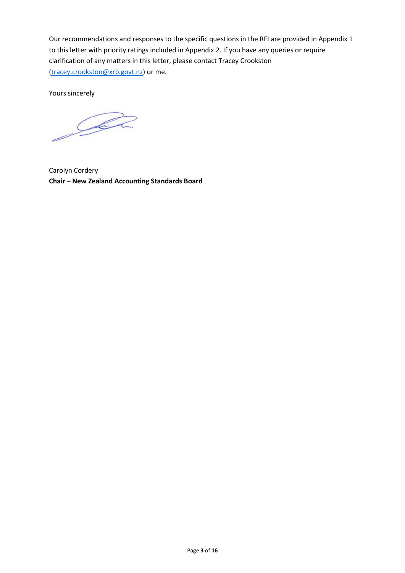Our recommendations and responses to the specific questions in the RFI are provided in Appendix 1 to this letter with priority ratings included in Appendix 2. If you have any queries or require clarification of any matters in this letter, please contact Tracey Crookston [\(tracey.crookston@xrb.govt.nz\)](mailto:tracey.crookston@xrb.govt.nz) or me.

Yours sincerely

Sala

Carolyn Cordery **Chair – New Zealand Accounting Standards Board**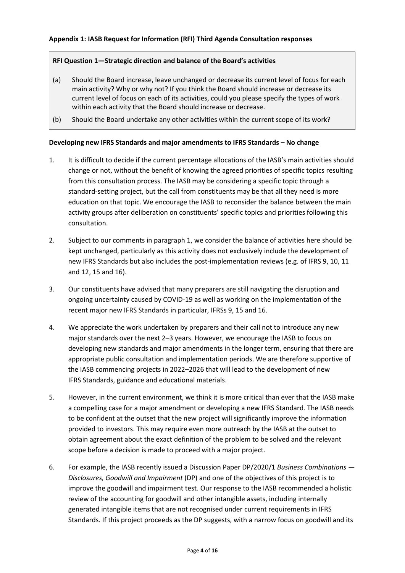# **RFI Question 1—Strategic direction and balance of the Board's activities**

- (a) Should the Board increase, leave unchanged or decrease its current level of focus for each main activity? Why or why not? If you think the Board should increase or decrease its current level of focus on each of its activities, could you please specify the types of work within each activity that the Board should increase or decrease.
- (b) Should the Board undertake any other activities within the current scope of its work?

# **Developing new IFRS Standards and major amendments to IFRS Standards – No change**

- 1. It is difficult to decide if the current percentage allocations of the IASB's main activities should change or not, without the benefit of knowing the agreed priorities of specific topics resulting from this consultation process. The IASB may be considering a specific topic through a standard-setting project, but the call from constituents may be that all they need is more education on that topic. We encourage the IASB to reconsider the balance between the main activity groups after deliberation on constituents' specific topics and priorities following this consultation.
- 2. Subject to our comments in paragraph 1, we consider the balance of activities here should be kept unchanged, particularly as this activity does not exclusively include the development of new IFRS Standards but also includes the post-implementation reviews (e.g. of IFRS 9, 10, 11 and 12, 15 and 16).
- 3. Our constituents have advised that many preparers are still navigating the disruption and ongoing uncertainty caused by COVID-19 as well as working on the implementation of the recent major new IFRS Standards in particular, IFRSs 9, 15 and 16.
- 4. We appreciate the work undertaken by preparers and their call not to introduce any new major standards over the next 2–3 years. However, we encourage the IASB to focus on developing new standards and major amendments in the longer term, ensuring that there are appropriate public consultation and implementation periods. We are therefore supportive of the IASB commencing projects in 2022–2026 that will lead to the development of new IFRS Standards, guidance and educational materials.
- 5. However, in the current environment, we think it is more critical than ever that the IASB make a compelling case for a major amendment or developing a new IFRS Standard. The IASB needs to be confident at the outset that the new project will significantly improve the information provided to investors. This may require even more outreach by the IASB at the outset to obtain agreement about the exact definition of the problem to be solved and the relevant scope before a decision is made to proceed with a major project.
- 6. For example, the IASB recently issued a Discussion Paper DP/2020/1 *Business Combinations — Disclosures, Goodwill and Impairment* (DP) and one of the objectives of this project is to improve the goodwill and impairment test. Our response to the IASB recommended a holistic review of the accounting for goodwill and other intangible assets, including internally generated intangible items that are not recognised under current requirements in IFRS Standards. If this project proceeds as the DP suggests, with a narrow focus on goodwill and its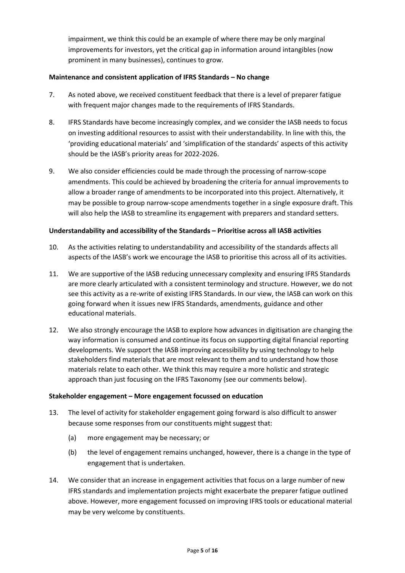impairment, we think this could be an example of where there may be only marginal improvements for investors, yet the critical gap in information around intangibles (now prominent in many businesses), continues to grow.

# **Maintenance and consistent application of IFRS Standards – No change**

- 7. As noted above, we received constituent feedback that there is a level of preparer fatigue with frequent major changes made to the requirements of IFRS Standards.
- 8. IFRS Standards have become increasingly complex, and we consider the IASB needs to focus on investing additional resources to assist with their understandability. In line with this, the 'providing educational materials' and 'simplification of the standards' aspects of this activity should be the IASB's priority areas for 2022-2026.
- 9. We also consider efficiencies could be made through the processing of narrow-scope amendments. This could be achieved by broadening the criteria for annual improvements to allow a broader range of amendments to be incorporated into this project. Alternatively, it may be possible to group narrow-scope amendments together in a single exposure draft. This will also help the IASB to streamline its engagement with preparers and standard setters.

# **Understandability and accessibility of the Standards – Prioritise across all IASB activities**

- 10. As the activities relating to understandability and accessibility of the standards affects all aspects of the IASB's work we encourage the IASB to prioritise this across all of its activities.
- 11. We are supportive of the IASB reducing unnecessary complexity and ensuring IFRS Standards are more clearly articulated with a consistent terminology and structure. However, we do not see this activity as a re-write of existing IFRS Standards. In our view, the IASB can work on this going forward when it issues new IFRS Standards, amendments, guidance and other educational materials.
- 12. We also strongly encourage the IASB to explore how advances in digitisation are changing the way information is consumed and continue its focus on supporting digital financial reporting developments. We support the IASB improving accessibility by using technology to help stakeholders find materials that are most relevant to them and to understand how those materials relate to each other. We think this may require a more holistic and strategic approach than just focusing on the IFRS Taxonomy (see our comments below).

#### **Stakeholder engagement – More engagement focussed on education**

- 13. The level of activity for stakeholder engagement going forward is also difficult to answer because some responses from our constituents might suggest that:
	- (a) more engagement may be necessary; or
	- (b) the level of engagement remains unchanged, however, there is a change in the type of engagement that is undertaken.
- 14. We consider that an increase in engagement activities that focus on a large number of new IFRS standards and implementation projects might exacerbate the preparer fatigue outlined above. However, more engagement focussed on improving IFRS tools or educational material may be very welcome by constituents.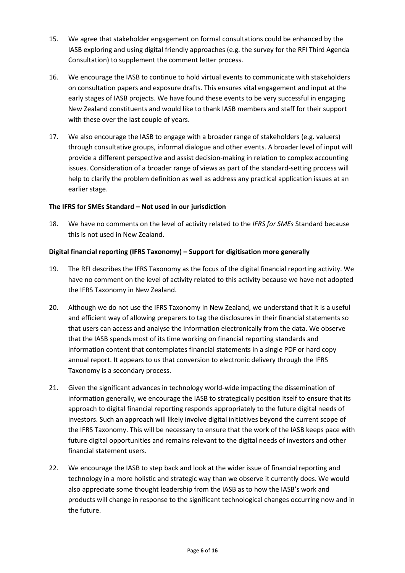- 15. We agree that stakeholder engagement on formal consultations could be enhanced by the IASB exploring and using digital friendly approaches (e.g. the survey for the RFI Third Agenda Consultation) to supplement the comment letter process.
- 16. We encourage the IASB to continue to hold virtual events to communicate with stakeholders on consultation papers and exposure drafts. This ensures vital engagement and input at the early stages of IASB projects. We have found these events to be very successful in engaging New Zealand constituents and would like to thank IASB members and staff for their support with these over the last couple of years.
- 17. We also encourage the IASB to engage with a broader range of stakeholders (e.g. valuers) through consultative groups, informal dialogue and other events. A broader level of input will provide a different perspective and assist decision-making in relation to complex accounting issues. Consideration of a broader range of views as part of the standard-setting process will help to clarify the problem definition as well as address any practical application issues at an earlier stage.

# **The IFRS for SMEs Standard – Not used in our jurisdiction**

18. We have no comments on the level of activity related to the *IFRS for SMEs* Standard because this is not used in New Zealand.

#### **Digital financial reporting (IFRS Taxonomy) – Support for digitisation more generally**

- 19. The RFI describes the IFRS Taxonomy as the focus of the digital financial reporting activity. We have no comment on the level of activity related to this activity because we have not adopted the IFRS Taxonomy in New Zealand.
- 20. Although we do not use the IFRS Taxonomy in New Zealand, we understand that it is a useful and efficient way of allowing preparers to tag the disclosures in their financial statements so that users can access and analyse the information electronically from the data. We observe that the IASB spends most of its time working on financial reporting standards and information content that contemplates financial statements in a single PDF or hard copy annual report. It appears to us that conversion to electronic delivery through the IFRS Taxonomy is a secondary process.
- 21. Given the significant advances in technology world-wide impacting the dissemination of information generally, we encourage the IASB to strategically position itself to ensure that its approach to digital financial reporting responds appropriately to the future digital needs of investors. Such an approach will likely involve digital initiatives beyond the current scope of the IFRS Taxonomy. This will be necessary to ensure that the work of the IASB keeps pace with future digital opportunities and remains relevant to the digital needs of investors and other financial statement users.
- 22. We encourage the IASB to step back and look at the wider issue of financial reporting and technology in a more holistic and strategic way than we observe it currently does. We would also appreciate some thought leadership from the IASB as to how the IASB's work and products will change in response to the significant technological changes occurring now and in the future.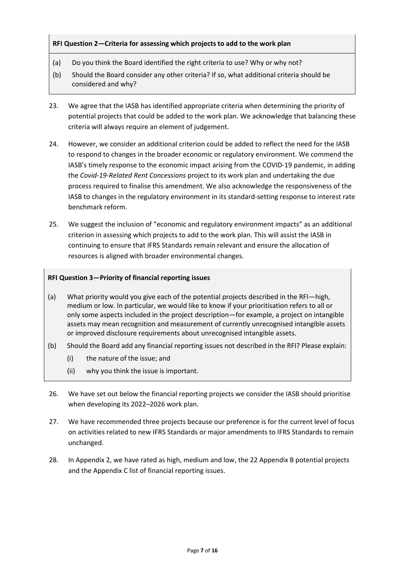# **RFI Question 2—Criteria for assessing which projects to add to the work plan**

- (a) Do you think the Board identified the right criteria to use? Why or why not?
- (b) Should the Board consider any other criteria? If so, what additional criteria should be considered and why?
- 23. We agree that the IASB has identified appropriate criteria when determining the priority of potential projects that could be added to the work plan. We acknowledge that balancing these criteria will always require an element of judgement.
- 24. However, we consider an additional criterion could be added to reflect the need for the IASB to respond to changes in the broader economic or regulatory environment. We commend the IASB's timely response to the economic impact arising from the COVID-19 pandemic, in adding the *Covid-19-Related Rent Concessions* project to its work plan and undertaking the due process required to finalise this amendment. We also acknowledge the responsiveness of the IASB to changes in the regulatory environment in its standard-setting response to interest rate benchmark reform.
- 25. We suggest the inclusion of "economic and regulatory environment impacts" as an additional criterion in assessing which projects to add to the work plan. This will assist the IASB in continuing to ensure that IFRS Standards remain relevant and ensure the allocation of resources is aligned with broader environmental changes.

# **RFI Question 3—Priority of financial reporting issues**

- (a) What priority would you give each of the potential projects described in the RFI—high, medium or low. In particular, we would like to know if your prioritisation refers to all or only some aspects included in the project description—for example, a project on intangible assets may mean recognition and measurement of currently unrecognised intangible assets or improved disclosure requirements about unrecognised intangible assets.
- (b) Should the Board add any financial reporting issues not described in the RFI? Please explain:
	- (i) the nature of the issue; and
	- (ii) why you think the issue is important.
- 26. We have set out below the financial reporting projects we consider the IASB should prioritise when developing its 2022–2026 work plan.
- 27. We have recommended three projects because our preference is for the current level of focus on activities related to new IFRS Standards or major amendments to IFRS Standards to remain unchanged.
- 28. In Appendix 2, we have rated as high, medium and low, the 22 Appendix B potential projects and the Appendix C list of financial reporting issues.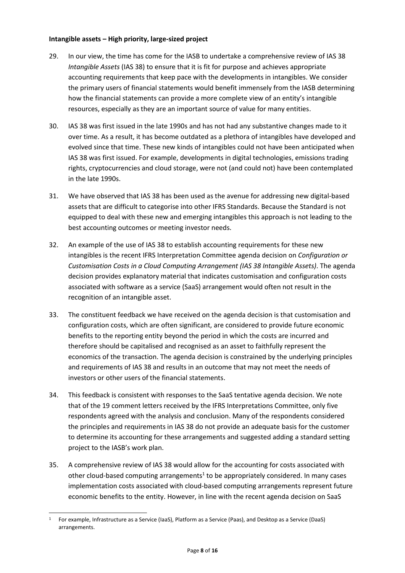# **Intangible assets – High priority, large-sized project**

- 29. In our view, the time has come for the IASB to undertake a comprehensive review of IAS 38 *Intangible Assets* (IAS 38) to ensure that it is fit for purpose and achieves appropriate accounting requirements that keep pace with the developments in intangibles. We consider the primary users of financial statements would benefit immensely from the IASB determining how the financial statements can provide a more complete view of an entity's intangible resources, especially as they are an important source of value for many entities.
- 30. IAS 38 was first issued in the late 1990s and has not had any substantive changes made to it over time. As a result, it has become outdated as a plethora of intangibles have developed and evolved since that time. These new kinds of intangibles could not have been anticipated when IAS 38 was first issued. For example, developments in digital technologies, emissions trading rights, cryptocurrencies and cloud storage, were not (and could not) have been contemplated in the late 1990s.
- 31. We have observed that IAS 38 has been used as the avenue for addressing new digital-based assets that are difficult to categorise into other IFRS Standards. Because the Standard is not equipped to deal with these new and emerging intangibles this approach is not leading to the best accounting outcomes or meeting investor needs.
- 32. An example of the use of IAS 38 to establish accounting requirements for these new intangibles is the recent IFRS Interpretation Committee agenda decision on *Configuration or Customisation Costs in a Cloud Computing Arrangement (IAS 38 Intangible Assets)*. The agenda decision provides explanatory material that indicates customisation and configuration costs associated with software as a service (SaaS) arrangement would often not result in the recognition of an intangible asset.
- 33. The constituent feedback we have received on the agenda decision is that customisation and configuration costs, which are often significant, are considered to provide future economic benefits to the reporting entity beyond the period in which the costs are incurred and therefore should be capitalised and recognised as an asset to faithfully represent the economics of the transaction. The agenda decision is constrained by the underlying principles and requirements of IAS 38 and results in an outcome that may not meet the needs of investors or other users of the financial statements.
- 34. This feedback is consistent with responses to the SaaS tentative agenda decision. We note that of the 19 comment letters received by the IFRS Interpretations Committee, only five respondents agreed with the analysis and conclusion. Many of the respondents considered the principles and requirements in IAS 38 do not provide an adequate basis for the customer to determine its accounting for these arrangements and suggested adding a standard setting project to the IASB's work plan.
- 35. A comprehensive review of IAS 38 would allow for the accounting for costs associated with other cloud-based computing arrangements<sup>1</sup> to be appropriately considered. In many cases implementation costs associated with cloud-based computing arrangements represent future economic benefits to the entity. However, in line with the recent agenda decision on SaaS

<sup>1</sup> For example, Infrastructure as a Service (IaaS), Platform as a Service (Paas), and Desktop as a Service (DaaS) arrangements.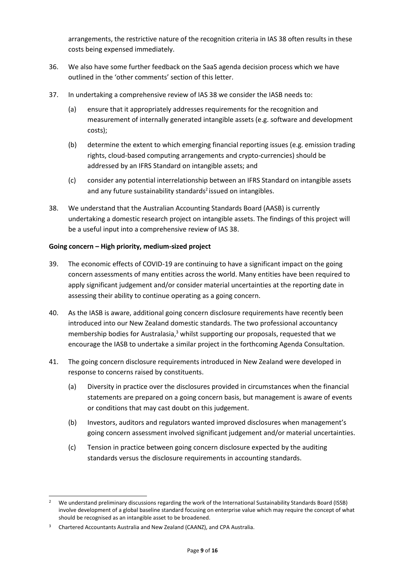arrangements, the restrictive nature of the recognition criteria in IAS 38 often results in these costs being expensed immediately.

- 36. We also have some further feedback on the SaaS agenda decision process which we have outlined in the 'other comments' section of this letter.
- 37. In undertaking a comprehensive review of IAS 38 we consider the IASB needs to:
	- (a) ensure that it appropriately addresses requirements for the recognition and measurement of internally generated intangible assets (e.g. software and development costs);
	- (b) determine the extent to which emerging financial reporting issues (e.g. emission trading rights, cloud-based computing arrangements and crypto-currencies) should be addressed by an IFRS Standard on intangible assets; and
	- (c) consider any potential interrelationship between an IFRS Standard on intangible assets and any future sustainability standards<sup>2</sup> issued on intangibles.
- 38. We understand that the Australian Accounting Standards Board (AASB) is currently undertaking a domestic research project on intangible assets. The findings of this project will be a useful input into a comprehensive review of IAS 38.

# **Going concern – High priority, medium-sized project**

- 39. The economic effects of COVID-19 are continuing to have a significant impact on the going concern assessments of many entities across the world. Many entities have been required to apply significant judgement and/or consider material uncertainties at the reporting date in assessing their ability to continue operating as a going concern.
- 40. As the IASB is aware, additional going concern disclosure requirements have recently been introduced into our New Zealand domestic standards. The two professional accountancy membership bodies for Australasia,<sup>3</sup> whilst supporting our proposals, requested that we encourage the IASB to undertake a similar project in the forthcoming Agenda Consultation.
- 41. The going concern disclosure requirements introduced in New Zealand were developed in response to concerns raised by constituents.
	- (a) Diversity in practice over the disclosures provided in circumstances when the financial statements are prepared on a going concern basis, but management is aware of events or conditions that may cast doubt on this judgement.
	- (b) Investors, auditors and regulators wanted improved disclosures when management's going concern assessment involved significant judgement and/or material uncertainties.
	- (c) Tension in practice between going concern disclosure expected by the auditing standards versus the disclosure requirements in accounting standards.

<sup>&</sup>lt;sup>2</sup> We understand preliminary discussions regarding the work of the International Sustainability Standards Board (ISSB) involve development of a global baseline standard focusing on enterprise value which may require the concept of what should be recognised as an intangible asset to be broadened.

<sup>&</sup>lt;sup>3</sup> Chartered Accountants Australia and New Zealand (CAANZ), and CPA Australia.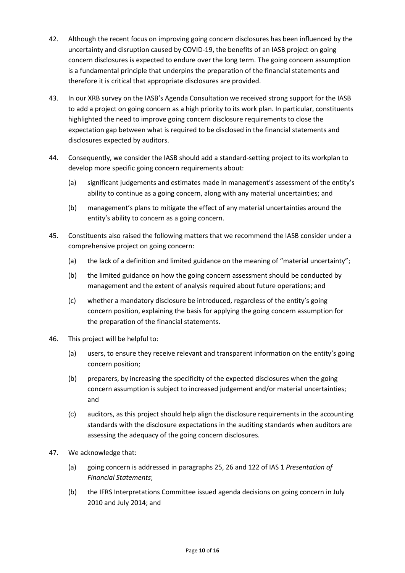- 42. Although the recent focus on improving going concern disclosures has been influenced by the uncertainty and disruption caused by COVID-19, the benefits of an IASB project on going concern disclosures is expected to endure over the long term. The going concern assumption is a fundamental principle that underpins the preparation of the financial statements and therefore it is critical that appropriate disclosures are provided.
- 43. In our XRB survey on the IASB's Agenda Consultation we received strong support for the IASB to add a project on going concern as a high priority to its work plan. In particular, constituents highlighted the need to improve going concern disclosure requirements to close the expectation gap between what is required to be disclosed in the financial statements and disclosures expected by auditors.
- 44. Consequently, we consider the IASB should add a standard-setting project to its workplan to develop more specific going concern requirements about:
	- (a) significant judgements and estimates made in management's assessment of the entity's ability to continue as a going concern, along with any material uncertainties; and
	- (b) management's plans to mitigate the effect of any material uncertainties around the entity's ability to concern as a going concern.
- 45. Constituents also raised the following matters that we recommend the IASB consider under a comprehensive project on going concern:
	- (a) the lack of a definition and limited guidance on the meaning of "material uncertainty";
	- (b) the limited guidance on how the going concern assessment should be conducted by management and the extent of analysis required about future operations; and
	- (c) whether a mandatory disclosure be introduced, regardless of the entity's going concern position, explaining the basis for applying the going concern assumption for the preparation of the financial statements.
- 46. This project will be helpful to:
	- (a) users, to ensure they receive relevant and transparent information on the entity's going concern position;
	- (b) preparers, by increasing the specificity of the expected disclosures when the going concern assumption is subject to increased judgement and/or material uncertainties; and
	- (c) auditors, as this project should help align the disclosure requirements in the accounting standards with the disclosure expectations in the auditing standards when auditors are assessing the adequacy of the going concern disclosures.
- 47. We acknowledge that:
	- (a) going concern is addressed in paragraphs 25, 26 and 122 of IAS 1 *Presentation of Financial Statements*;
	- (b) the IFRS Interpretations Committee issued agenda decisions on going concern in July 2010 and July 2014; and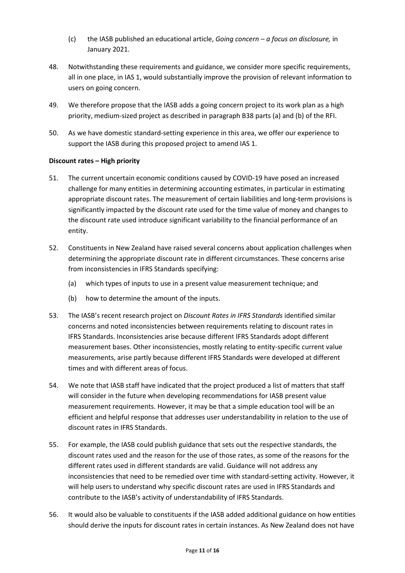- (c) the IASB published an educational article, *Going concern – a focus on disclosure,* in January 2021.
- 48. Notwithstanding these requirements and guidance, we consider more specific requirements, all in one place, in IAS 1, would substantially improve the provision of relevant information to users on going concern.
- 49. We therefore propose that the IASB adds a going concern project to its work plan as a high priority, medium-sized project as described in paragraph B38 parts (a) and (b) of the RFI.
- 50. As we have domestic standard-setting experience in this area, we offer our experience to support the IASB during this proposed project to amend IAS 1.

# **Discount rates – High priority**

- 51. The current uncertain economic conditions caused by COVID-19 have posed an increased challenge for many entities in determining accounting estimates, in particular in estimating appropriate discount rates. The measurement of certain liabilities and long-term provisions is significantly impacted by the discount rate used for the time value of money and changes to the discount rate used introduce significant variability to the financial performance of an entity.
- 52. Constituents in New Zealand have raised several concerns about application challenges when determining the appropriate discount rate in different circumstances. These concerns arise from inconsistencies in IFRS Standards specifying:
	- (a) which types of inputs to use in a present value measurement technique; and
	- (b) how to determine the amount of the inputs.
- 53. The IASB's recent research project on *Discount Rates in IFRS Standards* identified similar concerns and noted inconsistencies between requirements relating to discount rates in IFRS Standards. Inconsistencies arise because different IFRS Standards adopt different measurement bases. Other inconsistencies, mostly relating to entity-specific current value measurements, arise partly because different IFRS Standards were developed at different times and with different areas of focus.
- 54. We note that IASB staff have indicated that the project produced a list of matters that staff will consider in the future when developing recommendations for IASB present value measurement requirements. However, it may be that a simple education tool will be an efficient and helpful response that addresses user understandability in relation to the use of discount rates in IFRS Standards.
- 55. For example, the IASB could publish guidance that sets out the respective standards, the discount rates used and the reason for the use of those rates, as some of the reasons for the different rates used in different standards are valid. Guidance will not address any inconsistencies that need to be remedied over time with standard-setting activity. However, it will help users to understand why specific discount rates are used in IFRS Standards and contribute to the IASB's activity of understandability of IFRS Standards.
- 56. It would also be valuable to constituents if the IASB added additional guidance on how entities should derive the inputs for discount rates in certain instances. As New Zealand does not have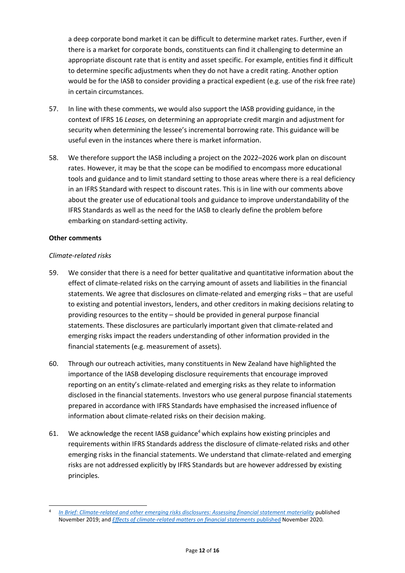a deep corporate bond market it can be difficult to determine market rates. Further, even if there is a market for corporate bonds, constituents can find it challenging to determine an appropriate discount rate that is entity and asset specific. For example, entities find it difficult to determine specific adjustments when they do not have a credit rating. Another option would be for the IASB to consider providing a practical expedient (e.g. use of the risk free rate) in certain circumstances.

- 57. In line with these comments, we would also support the IASB providing guidance, in the context of IFRS 16 *Leases,* on determining an appropriate credit margin and adjustment for security when determining the lessee's incremental borrowing rate. This guidance will be useful even in the instances where there is market information.
- 58. We therefore support the IASB including a project on the 2022–2026 work plan on discount rates. However, it may be that the scope can be modified to encompass more educational tools and guidance and to limit standard setting to those areas where there is a real deficiency in an IFRS Standard with respect to discount rates. This is in line with our comments above about the greater use of educational tools and guidance to improve understandability of the IFRS Standards as well as the need for the IASB to clearly define the problem before embarking on standard-setting activity.

# **Other comments**

# *Climate-related risks*

- 59. We consider that there is a need for better qualitative and quantitative information about the effect of climate-related risks on the carrying amount of assets and liabilities in the financial statements. We agree that disclosures on climate-related and emerging risks – that are useful to existing and potential investors, lenders, and other creditors in making decisions relating to providing resources to the entity – should be provided in general purpose financial statements. These disclosures are particularly important given that climate-related and emerging risks impact the readers understanding of other information provided in the financial statements (e.g. measurement of assets).
- 60. Through our outreach activities, many constituents in New Zealand have highlighted the importance of the IASB developing disclosure requirements that encourage improved reporting on an entity's climate-related and emerging risks as they relate to information disclosed in the financial statements. Investors who use general purpose financial statements prepared in accordance with IFRS Standards have emphasised the increased influence of information about climate-related risks on their decision making.
- 61. We acknowledge the recent IASB guidance<sup>4</sup> which explains how existing principles and requirements within IFRS Standards address the disclosure of climate-related risks and other emerging risks in the financial statements. We understand that climate-related and emerging risks are not addressed explicitly by IFRS Standards but are however addressed by existing principles.

<sup>4</sup> *[In Brief: Climate-related and other emerging risks disclosures: Assessing financial statement materiality](https://www.ifrs.org/content/dam/ifrs/news/2019/november/in-brief-climate-change-nick-anderson.pdf)* published November 2019; and *[Effects of climate-related matters on financial statements](https://www.ifrs.org/content/dam/ifrs/supporting-implementation/documents/effects-of-climate-related-matters-on-financial-statements.pdf)* published November 2020*.*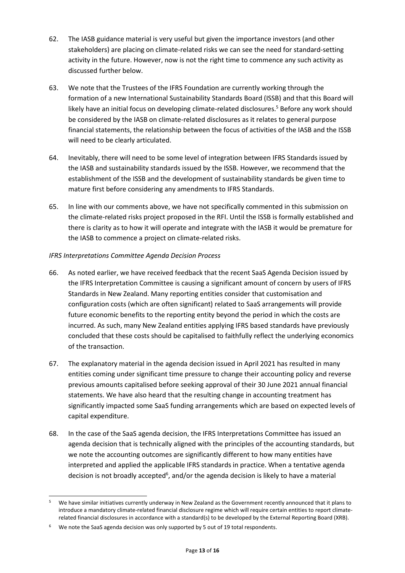- 62. The IASB guidance material is very useful but given the importance investors (and other stakeholders) are placing on climate-related risks we can see the need for standard-setting activity in the future. However, now is not the right time to commence any such activity as discussed further below.
- 63. We note that the Trustees of the IFRS Foundation are currently working through the formation of a new International Sustainability Standards Board (ISSB) and that this Board will likely have an initial focus on developing climate-related disclosures. <sup>5</sup> Before any work should be considered by the IASB on climate-related disclosures as it relates to general purpose financial statements, the relationship between the focus of activities of the IASB and the ISSB will need to be clearly articulated.
- 64. Inevitably, there will need to be some level of integration between IFRS Standards issued by the IASB and sustainability standards issued by the ISSB. However, we recommend that the establishment of the ISSB and the development of sustainability standards be given time to mature first before considering any amendments to IFRS Standards.
- 65. In line with our comments above, we have not specifically commented in this submission on the climate-related risks project proposed in the RFI. Until the ISSB is formally established and there is clarity as to how it will operate and integrate with the IASB it would be premature for the IASB to commence a project on climate-related risks.

# *IFRS Interpretations Committee Agenda Decision Process*

- 66. As noted earlier, we have received feedback that the recent SaaS Agenda Decision issued by the IFRS Interpretation Committee is causing a significant amount of concern by users of IFRS Standards in New Zealand. Many reporting entities consider that customisation and configuration costs (which are often significant) related to SaaS arrangements will provide future economic benefits to the reporting entity beyond the period in which the costs are incurred. As such, many New Zealand entities applying IFRS based standards have previously concluded that these costs should be capitalised to faithfully reflect the underlying economics of the transaction.
- 67. The explanatory material in the agenda decision issued in April 2021 has resulted in many entities coming under significant time pressure to change their accounting policy and reverse previous amounts capitalised before seeking approval of their 30 June 2021 annual financial statements. We have also heard that the resulting change in accounting treatment has significantly impacted some SaaS funding arrangements which are based on expected levels of capital expenditure.
- 68. In the case of the SaaS agenda decision, the IFRS Interpretations Committee has issued an agenda decision that is technically aligned with the principles of the accounting standards, but we note the accounting outcomes are significantly different to how many entities have interpreted and applied the applicable IFRS standards in practice. When a tentative agenda decision is not broadly accepted<sup>6</sup>, and/or the agenda decision is likely to have a material

<sup>&</sup>lt;sup>5</sup> We have similar initiatives currently underway in New Zealand as the Government recently announced that it plans to introduce a mandatory climate-related financial disclosure regime which will require certain entities to report climaterelated financial disclosures in accordance with a standard(s) to be developed by the External Reporting Board (XRB).

 $6$  We note the SaaS agenda decision was only supported by 5 out of 19 total respondents.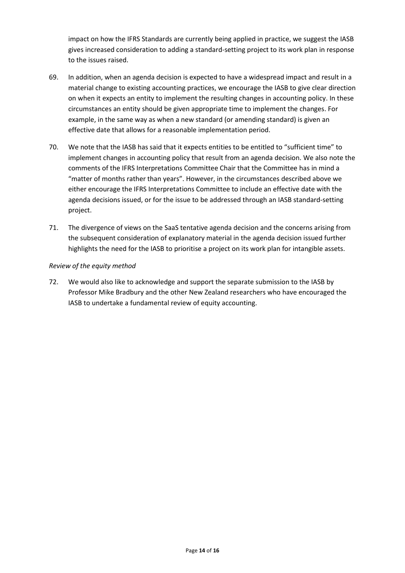impact on how the IFRS Standards are currently being applied in practice, we suggest the IASB gives increased consideration to adding a standard-setting project to its work plan in response to the issues raised.

- 69. In addition, when an agenda decision is expected to have a widespread impact and result in a material change to existing accounting practices, we encourage the IASB to give clear direction on when it expects an entity to implement the resulting changes in accounting policy. In these circumstances an entity should be given appropriate time to implement the changes. For example, in the same way as when a new standard (or amending standard) is given an effective date that allows for a reasonable implementation period.
- 70. We note that the IASB has said that it expects entities to be entitled to "sufficient time" to implement changes in accounting policy that result from an agenda decision. We also note the comments of the IFRS Interpretations Committee Chair that the Committee has in mind a "matter of months rather than years". However, in the circumstances described above we either encourage the IFRS Interpretations Committee to include an effective date with the agenda decisions issued, or for the issue to be addressed through an IASB standard-setting project.
- 71. The divergence of views on the SaaS tentative agenda decision and the concerns arising from the subsequent consideration of explanatory material in the agenda decision issued further highlights the need for the IASB to prioritise a project on its work plan for intangible assets.

# *Review of the equity method*

72. We would also like to acknowledge and support the separate submission to the IASB by Professor Mike Bradbury and the other New Zealand researchers who have encouraged the IASB to undertake a fundamental review of equity accounting.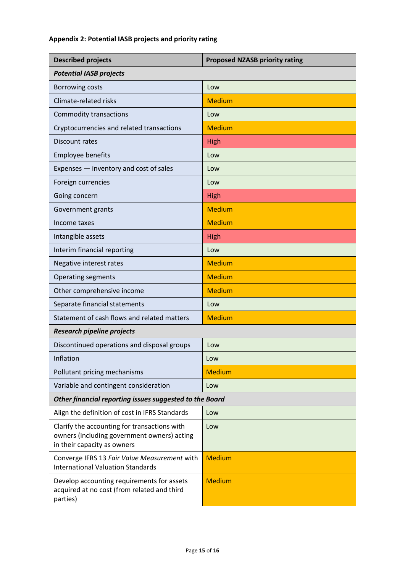# **Appendix 2: Potential IASB projects and priority rating**

| <b>Described projects</b>                                                                                                  | <b>Proposed NZASB priority rating</b> |
|----------------------------------------------------------------------------------------------------------------------------|---------------------------------------|
| <b>Potential IASB projects</b>                                                                                             |                                       |
| <b>Borrowing costs</b>                                                                                                     | Low                                   |
| Climate-related risks                                                                                                      | <b>Medium</b>                         |
| <b>Commodity transactions</b>                                                                                              | Low                                   |
| Cryptocurrencies and related transactions                                                                                  | <b>Medium</b>                         |
| Discount rates                                                                                                             | High                                  |
| <b>Employee benefits</b>                                                                                                   | Low                                   |
| Expenses - inventory and cost of sales                                                                                     | Low                                   |
| Foreign currencies                                                                                                         | Low                                   |
| Going concern                                                                                                              | <b>High</b>                           |
| Government grants                                                                                                          | <b>Medium</b>                         |
| Income taxes                                                                                                               | <b>Medium</b>                         |
| Intangible assets                                                                                                          | <b>High</b>                           |
| Interim financial reporting                                                                                                | Low                                   |
| Negative interest rates                                                                                                    | <b>Medium</b>                         |
| <b>Operating segments</b>                                                                                                  | <b>Medium</b>                         |
| Other comprehensive income                                                                                                 | <b>Medium</b>                         |
| Separate financial statements                                                                                              | Low                                   |
| Statement of cash flows and related matters                                                                                | <b>Medium</b>                         |
| <b>Research pipeline projects</b>                                                                                          |                                       |
| Discontinued operations and disposal groups                                                                                | Low                                   |
| Inflation                                                                                                                  | Low                                   |
| Pollutant pricing mechanisms                                                                                               | <b>Medium</b>                         |
| Variable and contingent consideration                                                                                      | Low                                   |
| Other financial reporting issues suggested to the Board                                                                    |                                       |
| Align the definition of cost in IFRS Standards                                                                             | Low                                   |
| Clarify the accounting for transactions with<br>owners (including government owners) acting<br>in their capacity as owners | Low                                   |
| Converge IFRS 13 Fair Value Measurement with<br><b>International Valuation Standards</b>                                   | <b>Medium</b>                         |
| Develop accounting requirements for assets<br>acquired at no cost (from related and third<br>parties)                      | <b>Medium</b>                         |